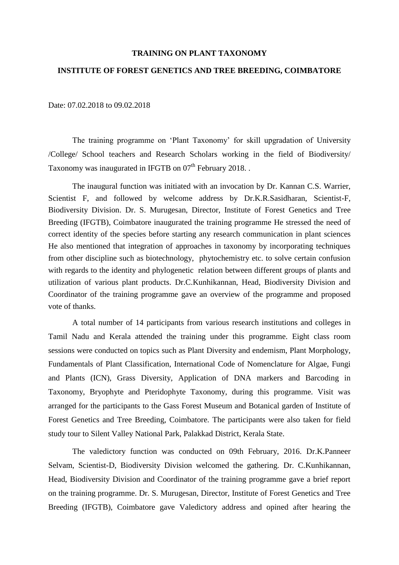## **TRAINING ON PLANT TAXONOMY**

## **INSTITUTE OF FOREST GENETICS AND TREE BREEDING, COIMBATORE**

## Date: 07.02.2018 to 09.02.2018

The training programme on 'Plant Taxonomy' for skill upgradation of University /College/ School teachers and Research Scholars working in the field of Biodiversity/ Taxonomy was inaugurated in IFGTB on 07<sup>th</sup> February 2018. .

The inaugural function was initiated with an invocation by Dr. Kannan C.S. Warrier, Scientist F, and followed by welcome address by Dr.K.R.Sasidharan, Scientist-F, Biodiversity Division. Dr. S. Murugesan, Director, Institute of Forest Genetics and Tree Breeding (IFGTB), Coimbatore inaugurated the training programme He stressed the need of correct identity of the species before starting any research communication in plant sciences He also mentioned that integration of approaches in taxonomy by incorporating techniques from other discipline such as biotechnology, phytochemistry etc. to solve certain confusion with regards to the identity and phylogenetic relation between different groups of plants and utilization of various plant products. Dr.C.Kunhikannan, Head, Biodiversity Division and Coordinator of the training programme gave an overview of the programme and proposed vote of thanks.

A total number of 14 participants from various research institutions and colleges in Tamil Nadu and Kerala attended the training under this programme. Eight class room sessions were conducted on topics such as Plant Diversity and endemism, Plant Morphology, Fundamentals of Plant Classification, International Code of Nomenclature for Algae, Fungi and Plants (ICN), Grass Diversity, Application of DNA markers and Barcoding in Taxonomy, Bryophyte and Pteridophyte Taxonomy, during this programme. Visit was arranged for the participants to the Gass Forest Museum and Botanical garden of Institute of Forest Genetics and Tree Breeding, Coimbatore. The participants were also taken for field study tour to Silent Valley National Park, Palakkad District, Kerala State.

The valedictory function was conducted on 09th February, 2016. Dr.K.Panneer Selvam, Scientist-D, Biodiversity Division welcomed the gathering. Dr. C.Kunhikannan, Head, Biodiversity Division and Coordinator of the training programme gave a brief report on the training programme. Dr. S. Murugesan, Director, Institute of Forest Genetics and Tree Breeding (IFGTB), Coimbatore gave Valedictory address and opined after hearing the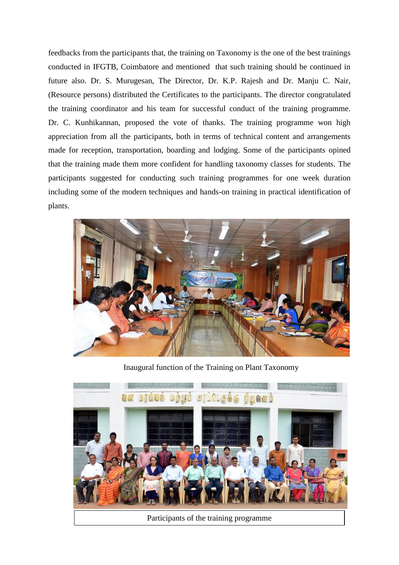feedbacks from the participants that, the training on Taxonomy is the one of the best trainings conducted in IFGTB, Coimbatore and mentioned that such training should be continued in future also. Dr. S. Murugesan, The Director, Dr. K.P. Rajesh and Dr. Manju C. Nair, (Resource persons) distributed the Certificates to the participants. The director congratulated the training coordinator and his team for successful conduct of the training programme. Dr. C. Kunhikannan, proposed the vote of thanks. The training programme won high appreciation from all the participants, both in terms of technical content and arrangements made for reception, transportation, boarding and lodging. Some of the participants opined that the training made them more confident for handling taxonomy classes for students. The participants suggested for conducting such training programmes for one week duration including some of the modern techniques and hands-on training in practical identification of plants.



Inaugural function of the Training on Plant Taxonomy



Participants of the training programme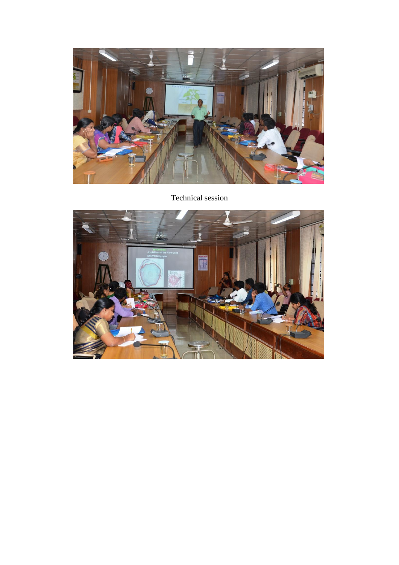

## Technical session